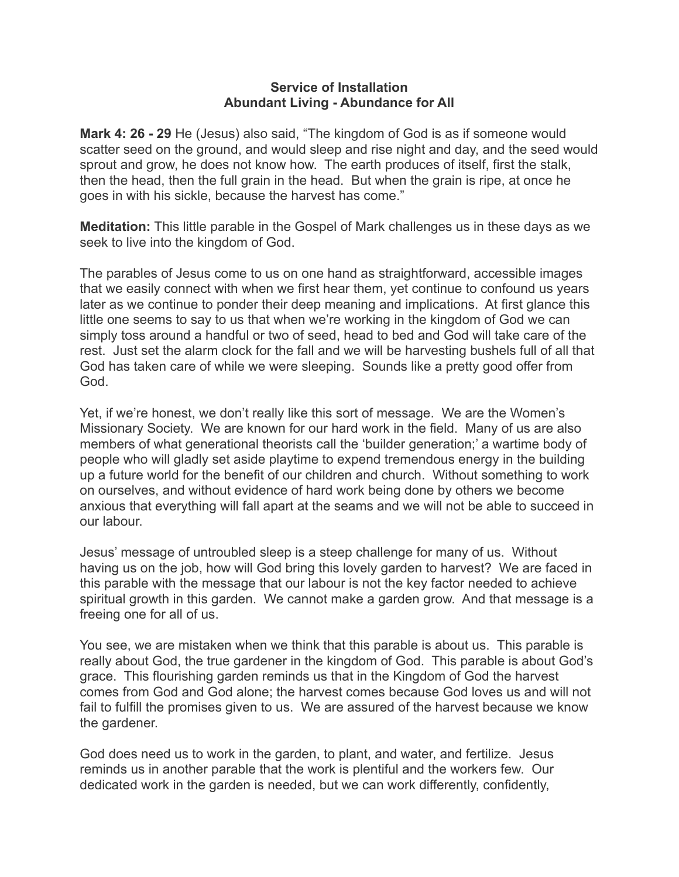## **Service of Installation Abundant Living - Abundance for All**

**Mark 4: 26 - 29** He (Jesus) also said, "The kingdom of God is as if someone would scatter seed on the ground, and would sleep and rise night and day, and the seed would sprout and grow, he does not know how. The earth produces of itself, first the stalk, then the head, then the full grain in the head. But when the grain is ripe, at once he goes in with his sickle, because the harvest has come."

**Meditation:** This little parable in the Gospel of Mark challenges us in these days as we seek to live into the kingdom of God.

The parables of Jesus come to us on one hand as straightforward, accessible images that we easily connect with when we first hear them, yet continue to confound us years later as we continue to ponder their deep meaning and implications. At first glance this little one seems to say to us that when we're working in the kingdom of God we can simply toss around a handful or two of seed, head to bed and God will take care of the rest. Just set the alarm clock for the fall and we will be harvesting bushels full of all that God has taken care of while we were sleeping. Sounds like a pretty good offer from God.

Yet, if we're honest, we don't really like this sort of message. We are the Women's Missionary Society. We are known for our hard work in the field. Many of us are also members of what generational theorists call the 'builder generation;' a wartime body of people who will gladly set aside playtime to expend tremendous energy in the building up a future world for the benefit of our children and church. Without something to work on ourselves, and without evidence of hard work being done by others we become anxious that everything will fall apart at the seams and we will not be able to succeed in our labour.

Jesus' message of untroubled sleep is a steep challenge for many of us. Without having us on the job, how will God bring this lovely garden to harvest? We are faced in this parable with the message that our labour is not the key factor needed to achieve spiritual growth in this garden. We cannot make a garden grow. And that message is a freeing one for all of us.

You see, we are mistaken when we think that this parable is about us. This parable is really about God, the true gardener in the kingdom of God. This parable is about God's grace. This flourishing garden reminds us that in the Kingdom of God the harvest comes from God and God alone; the harvest comes because God loves us and will not fail to fulfill the promises given to us. We are assured of the harvest because we know the gardener.

God does need us to work in the garden, to plant, and water, and fertilize. Jesus reminds us in another parable that the work is plentiful and the workers few. Our dedicated work in the garden is needed, but we can work differently, confidently,